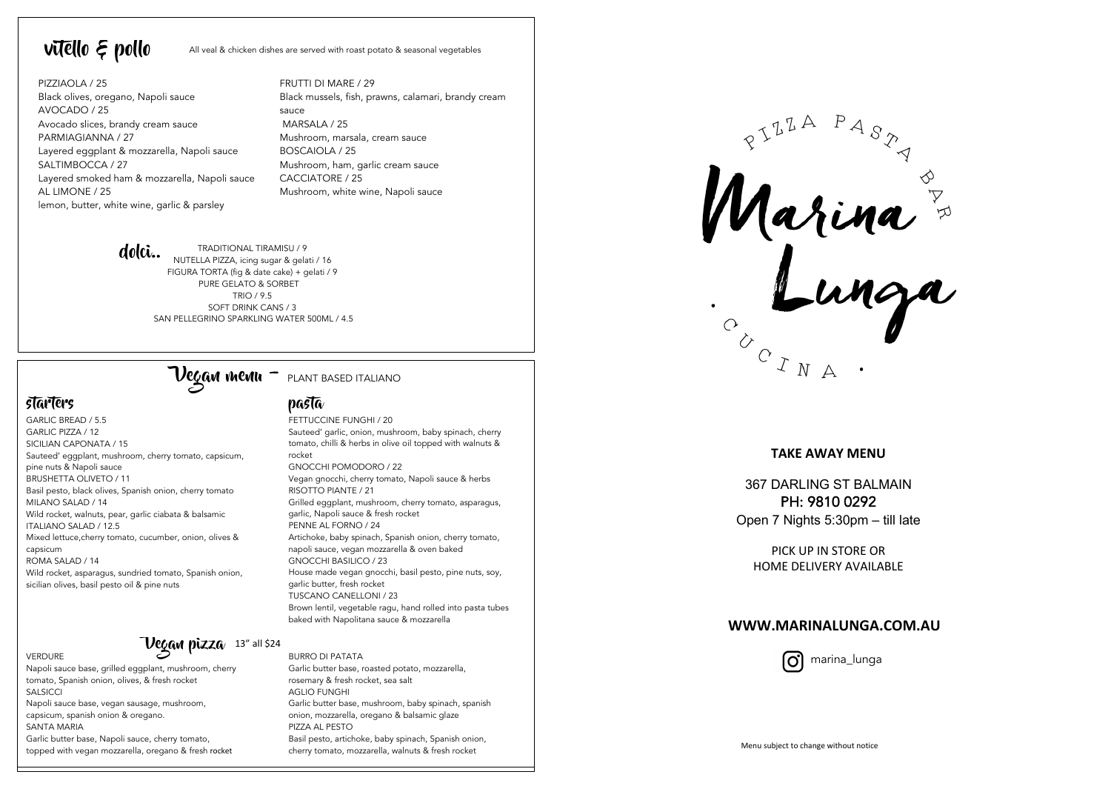vitello  $\epsilon$  pollo All veal & chicken dishes are served with roast potato & seasonal vegetables

PIZZIAOLA / 25 Black olives, oregano, Napoli sauce AVOCADO / 25 Avocado slices, brandy cream sauce PARMIAGIANNA / 27 Layered eggplant & mozzarella, Napoli sauce SALTIMBOCCA / 27 Layered smoked ham & mozzarella, Napoli sauce AL LIMONE / 25 lemon, butter, white wine, garlic & parsley

FRUTTI DI MARE / 29 Black mussels, fish, prawns, calamari, brandy cream sauce MARSALA / 25 Mushroom, marsala, cream sauce BOSCAIOLA / 25 Mushroom, ham, garlic cream sauce CACCIATORE / 25 Mushroom, white wine, Napoli sauce



TRADITIONAL TIRAMISU / 9 NUTELLA PIZZA, icing sugar & gelati / 16 FIGURA TORTA (fig & date cake) + gelati / 9 PURE GELATO & SORBET TRIO / 9.5 SOFT DRINK CANS / 3 SAN PELLEGRINO SPARKLING WATER 500ML / 4.5



## starters pasta

VERDURE

GARLIC BREAD / 5.5 GARLIC PIZZA / 12 SICILIAN CAPONATA / 15 Sauteed' eggplant, mushroom, cherry tomato, capsicum, pine nuts & Napoli sauce BRUSHETTA OLIVETO / 11 Basil pesto, black olives, Spanish onion, cherry tomato MILANO SALAD / 14 Wild rocket, walnuts, pear, garlic ciabata & balsamic ITALIANO SALAD / 12.5 Mixed lettuce,cherry tomato, cucumber, onion, olives & capsicum ROMA SALAD / 14 Wild rocket, asparagus, sundried tomato, Spanish onion, sicilian olives, basil pesto oil & pine nuts

## $\tau$ Vegan pizza 13" all \$24

Napoli sauce base, grilled eggplant, mushroom, cherry tomato, Spanish onion, olives, & fresh rocket SALSICCI

Napoli sauce base, vegan sausage, mushroom, capsicum, spanish onion & oregano. SANTA MARIA

Garlic butter base, Napoli sauce, cherry tomato, topped with vegan mozzarella, oregano & fresh rocket

FETTUCCINE FUNGHI / 20 Sauteed' garlic, onion, mushroom, baby spinach, cherry tomato, chilli & herbs in olive oil topped with walnuts & rocket

GNOCCHI POMODORO / 22 Vegan gnocchi, cherry tomato, Napoli sauce & herbs RISOTTO PIANTE / 21 Grilled eggplant, mushroom, cherry tomato, asparagus, garlic, Napoli sauce & fresh rocket PENNE AL FORNO / 24 Artichoke, baby spinach, Spanish onion, cherry tomato, napoli sauce, vegan mozzarella & oven baked GNOCCHI BASILICO / 23 House made vegan gnocchi, basil pesto, pine nuts, soy, garlic butter, fresh rocket TUSCANO CANELLONI / 23 Brown lentil, vegetable ragu, hand rolled into pasta tubes baked with Napolitana sauce & mozzarella

BURRO DI PATATA Garlic butter base, roasted potato, mozzarella, rosemary & fresh rocket, sea salt AGLIO FUNGHI Garlic butter base, mushroom, baby spinach, spanish onion, mozzarella, oregano & balsamic glaze PIZZA AL PESTO Basil pesto, artichoke, baby spinach, Spanish onion, cherry tomato, mozzarella, walnuts & fresh rocket

Rarina &

### **TAKE AWAY MENU**

367 DARLING ST BALMAIN PH: 9810 0292 Open 7 Nights 5:30pm – till late

PICK UP IN STORE OR HOME DELIVERY AVAILABLE

### **WWW.MARINALUNGA.COM.AU**